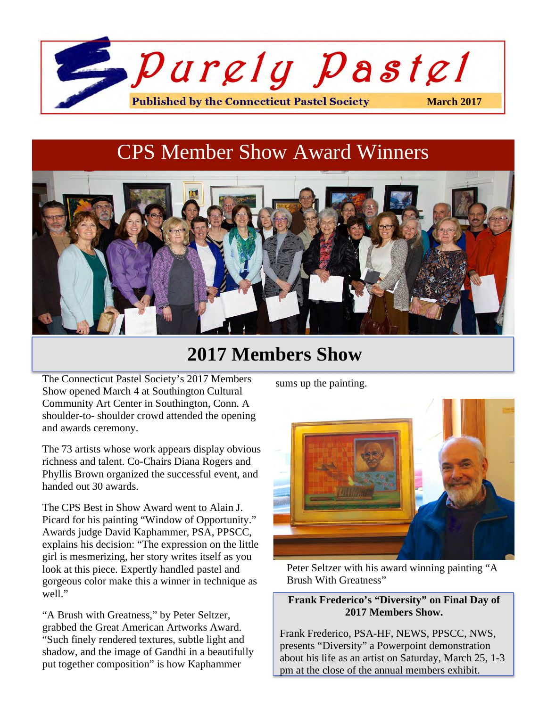

# CPS Member Show Award Winners



## **2017 Members Show**

The Connecticut Pastel Society's 2017 Members Show opened March 4 at Southington Cultural Community Art Center in Southington, Conn. A shoulder-to- shoulder crowd attended the opening and awards ceremony.

The 73 artists whose work appears display obvious richness and talent. Co-Chairs Diana Rogers and Phyllis Brown organized the successful event, and handed out 30 awards.

The CPS Best in Show Award went to Alain J. Picard for his painting "Window of Opportunity." Awards judge David Kaphammer, PSA, PPSCC, explains his decision: "The expression on the little girl is mesmerizing, her story writes itself as you look at this piece. Expertly handled pastel and gorgeous color make this a winner in technique as well."

"A Brush with Greatness," by Peter Seltzer, grabbed the Great American Artworks Award. "Such finely rendered textures, subtle light and shadow, and the image of Gandhi in a beautifully put together composition" is how Kaphammer

sums up the painting.



Peter Seltzer with his award winning painting "A Brush With Greatness"

### **Frank Frederico's "Diversity" on Final Day of 2017 Members Show.**

Frank Frederico, PSA-HF, NEWS, PPSCC, NWS, presents "Diversity" a Powerpoint demonstration about his life as an artist on Saturday, March 25, 1-3 pm at the close of the annual members exhibit.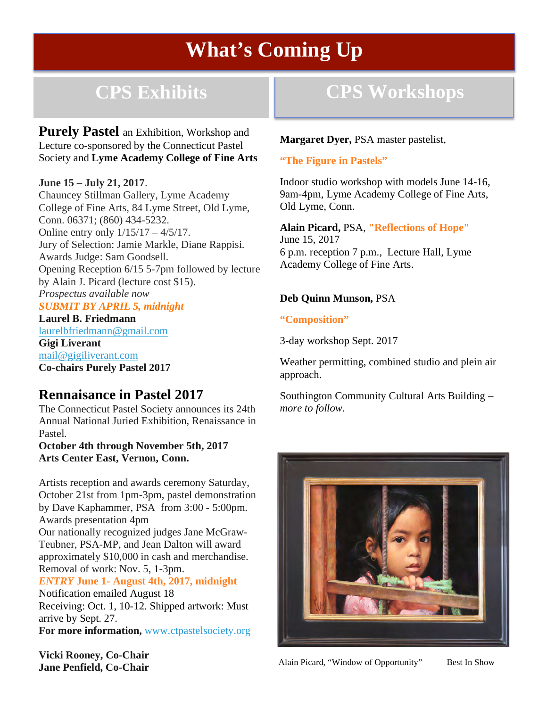# **What's Coming Up**

## **CPS Exhibits**

**Purely Pastel** an Exhibition, Workshop and Lecture co-sponsored by the Connecticut Pastel Society and **Lyme Academy College of Fine Arts**

#### **June 15 – July 21, 2017**.

3

Chauncey Stillman Gallery, Lyme Academy College of Fine Arts, 84 Lyme Street, Old Lyme, Conn. 06371; (860) 434-5232. Online entry only 1/15/17 – 4/5/17. Jury of Selection: Jamie Markle, Diane Rappisi. Awards Judge: Sam Goodsell. Opening Reception 6/15 5-7pm followed by lecture by Alain J. Picard (lecture cost \$15). *Prospectus available now*

### *SUBMIT BY APRIL 5, midnight*

**Laurel B. Friedmann** laurelbfriedmann@gmail.com **Gigi Liverant** mail@gigiliverant.com **Co-chairs Purely Pastel 2017**

### **Rennaisance in Pastel 2017**

The Connecticut Pastel Society announces its 24th Annual National Juried Exhibition, Renaissance in Pastel.

**October 4th through November 5th, 2017 Arts Center East, Vernon, Conn.**

Artists reception and awards ceremony Saturday, October 21st from 1pm-3pm, pastel demonstration by Dave Kaphammer, PSA from 3:00 - 5:00pm. Awards presentation 4pm

Our nationally recognized judges Jane McGraw-Teubner, PSA-MP, and Jean Dalton will award approximately \$10,000 in cash and merchandise. Removal of work: Nov. 5, 1-3pm.

*ENTRY* **June 1- August 4th, 2017, midnight**

Notification emailed August 18 Receiving: Oct. 1, 10-12. Shipped artwork: Must arrive by Sept. 27.

**For more information,** www.ctpastelsociety.org

**CPS Workshops**

**Margaret Dyer,** PSA master pastelist,

### **"The Figure in Pastels"**

Indoor studio workshop with models June 14-16, 9am-4pm, Lyme Academy College of Fine Arts, Old Lyme, Conn.

**Alain Picard,** PSA, **"Reflections of Hope"**  June 15, 2017 6 p.m. reception 7 p.m., Lecture Hall, Lyme Academy College of Fine Arts.

### **Deb Quinn Munson,** PSA

#### **"Composition"**

3-day workshop Sept. 2017

Weather permitting, combined studio and plein air approach.

Southington Community Cultural Arts Building – *more to follow.*



**Vicki Rooney, Co-Chair Jane Penfield, Co-Chair**

Alain Picard, "Window of Opportunity" Best In Show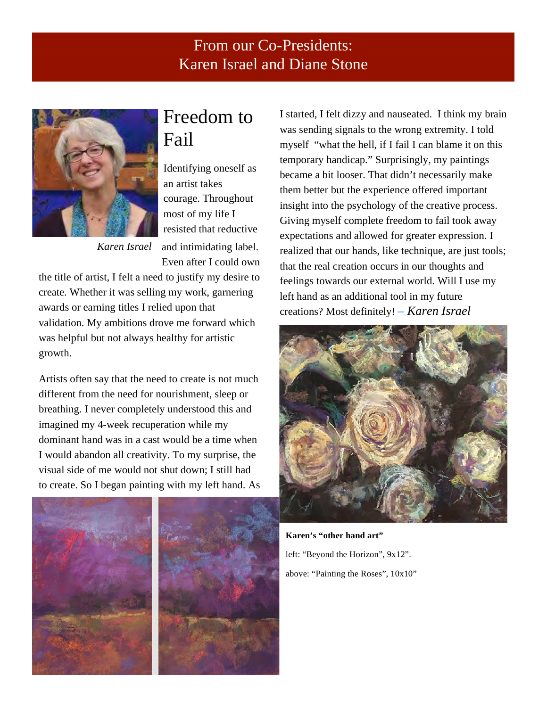### From our Co-Presidents: Karen Israel and Diane Stone



## Freedom to Fail

Identifying oneself as an artist takes courage. Throughout most of my life I resisted that reductive and intimidating label. Even after I could own

*Karen Israel*

the title of artist, I felt a need to justify my desire to create. Whether it was selling my work, garnering awards or earning titles I relied upon that validation. My ambitions drove me forward which was helpful but not always healthy for artistic growth.

Artists often say that the need to create is not much different from the need for nourishment, sleep or breathing. I never completely understood this and imagined my 4-week recuperation while my dominant hand was in a cast would be a time when I would abandon all creativity. To my surprise, the visual side of me would not shut down; I still had to create. So I began painting with my left hand. As





I started, I felt dizzy and nauseated. I think my brain was sending signals to the wrong extremity. I told myself "what the hell, if I fail I can blame it on this temporary handicap." Surprisingly, my paintings became a bit looser. That didn't necessarily make them better but the experience offered important insight into the psychology of the creative process. Giving myself complete freedom to fail took away expectations and allowed for greater expression. I realized that our hands, like technique, are just tools; that the real creation occurs in our thoughts and feelings towards our external world. Will I use my left hand as an additional tool in my future creations? Most definitely! – *Karen Israel*



**Karen's "other hand art"** left: "Beyond the Horizon", 9x12". above: "Painting the Roses", 10x10"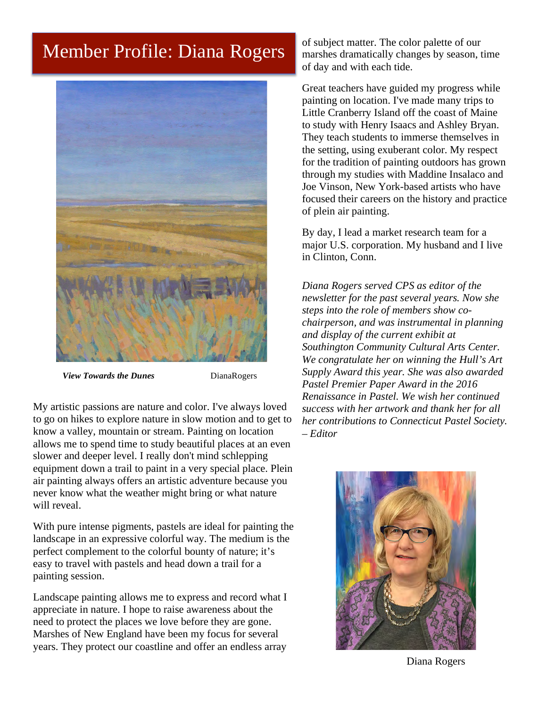## Member Profile: Diana Rogers



*View Towards the Dunes* DianaRogers

My artistic passions are nature and color. I've always loved to go on hikes to explore nature in slow motion and to get to know a valley, mountain or stream. Painting on location allows me to spend time to study beautiful places at an even slower and deeper level. I really don't mind schlepping equipment down a trail to paint in a very special place. Plein air painting always offers an artistic adventure because you never know what the weather might bring or what nature will reveal.

With pure intense pigments, pastels are ideal for painting the landscape in an expressive colorful way. The medium is the perfect complement to the colorful bounty of nature; it's easy to travel with pastels and head down a trail for a painting session.

Landscape painting allows me to express and record what I appreciate in nature. I hope to raise awareness about the need to protect the places we love before they are gone. Marshes of New England have been my focus for several years. They protect our coastline and offer an endless array

of subject matter. The color palette of our marshes dramatically changes by season, time of day and with each tide.

Great teachers have guided my progress while painting on location. I've made many trips to Little Cranberry Island off the coast of Maine to study with Henry Isaacs and Ashley Bryan. They teach students to immerse themselves in the setting, using exuberant color. My respect for the tradition of painting outdoors has grown through my studies with Maddine Insalaco and Joe Vinson, New York-based artists who have focused their careers on the history and practice of plein air painting.

By day, I lead a market research team for a major U.S. corporation. My husband and I live in Clinton, Conn.

*Diana Rogers served CPS as editor of the newsletter for the past several years. Now she steps into the role of members show cochairperson, and was instrumental in planning and display of the current exhibit at Southington Community Cultural Arts Center. We congratulate her on winning the Hull's Art Supply Award this year. She was also awarded Pastel Premier Paper Award in the 2016 Renaissance in Pastel. We wish her continued success with her artwork and thank her for all her contributions to Connecticut Pastel Society. – Editor*



Diana Rogers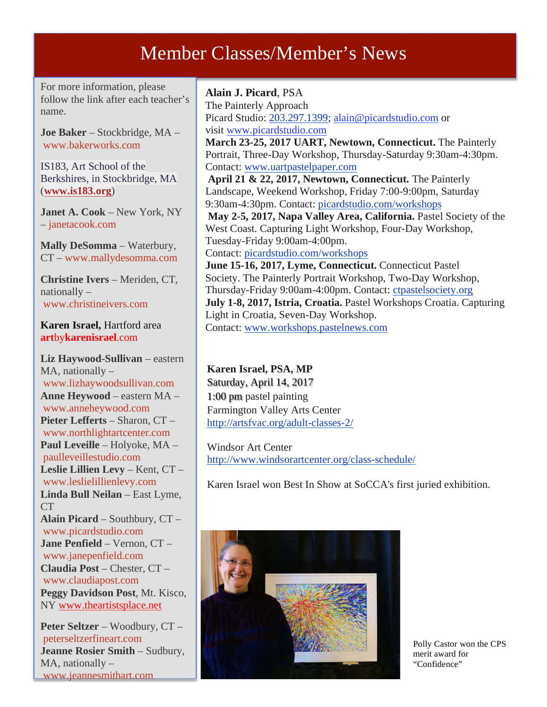## Member Classes/Member's News

For more information, please follow the link after each teacher's name.

**Joe Baker** – Stockbridge, MA – www.bakerworks.com

IS183, Art School of the Berkshires, in Stockbridge, MA (**www.is183.org**)

**Janet A. Cook** – New York, NY – janetacook.com

**Mally DeSomma** – Waterbury, CT – www.mallydesomma.com

**Christine Ivers** – Meriden, CT, nationally – www.christineivers.com

**Karen Israel,** Hartford area **art**by**karenisrael**.com

**Liz Haywood-Sullivan** – eastern MA, nationally – www.lizhaywoodsullivan.com **Anne Heywood** – eastern MA – www.anneheywood.com **Pieter Lefferts** – Sharon, CT – www.northlightartcenter.com **Paul Leveille** – Holyoke, MA – paulleveillestudio.com **Leslie Lillien Levy** – Kent, CT – www.leslielillienlevy.com **Linda Bull Neilan** – East Lyme, **CT Alain Picard** – Southbury, CT – www.picardstudio.com **Jane Penfield** – Vernon, CT – www.janepenfield.com **Claudia Post** – Chester, CT – www.claudiapost.com **Peggy Davidson Post**, Mt. Kisco, NY www.theartistsplace.net

**Peter Seltzer** – Woodbury, CT – peterseltzerfineart.com **Jeanne Rosier Smith** – Sudbury, MA, nationally – www.jeannesmithart.com

### **Alain J. Picard**, PSA

The Painterly Approach Picard Studio: 203.297.1399; alain@picardstudio.com or visit www.picardstudio.com **March 23-25, 2017 UART, Newtown, Connecticut.** The Painterly Portrait, Three-Day Workshop, Thursday-Saturday 9:30am-4:30pm. Contact: www.uartpastelpaper.com **April 21 & 22, 2017, Newtown, Connecticut.** The Painterly Landscape, Weekend Workshop, Friday 7:00-9:00pm, Saturday 9:30am-4:30pm. Contact: picardstudio.com/workshops **May 2-5, 2017, Napa Valley Area, California.** Pastel Society of the West Coast. Capturing Light Workshop, Four-Day Workshop, Tuesday-Friday 9:00am-4:00pm. Contact: picardstudio.com/workshops **June 15-16, 2017, Lyme, Connecticut.** Connecticut Pastel Society. The Painterly Portrait Workshop, Two-Day Workshop, Thursday-Friday 9:00am-4:00pm. Contact: ctpastelsociety.org **July 1-8, 2017, Istria, Croatia.** Pastel Workshops Croatia. Capturing Light in Croatia, Seven-Day Workshop.

Contact: www.workshops.pastelnews.com

**Karen Israel, PSA, MP** Saturday, April 14, 2017 1:00 pm pastel painting Farmington Valley Arts Center http://artsfvac.org/adult-classes-2/

Windsor Art Center http://www.windsorartcenter.org/class-schedule/

Karen Israel won Best In Show at SoCCA's first juried exhibition.



Polly Castor won the CPS merit award for "Confidence"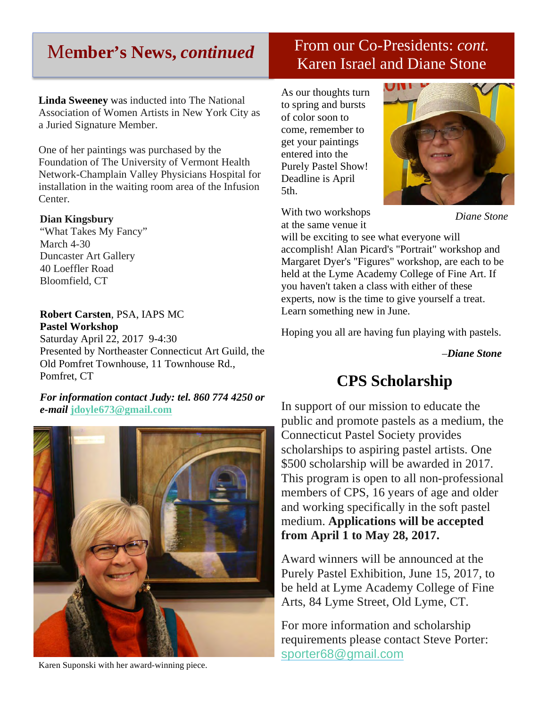### Me**mber's News,** *continued*

### From our Co-Presidents: *cont.* Karen Israel and Diane Stone

**Linda Sweeney** was inducted into The National Association of Women Artists in New York City as a Juried Signature Member.

One of her paintings was purchased by the Foundation of The University of Vermont Health Network-Champlain Valley Physicians Hospital for installation in the waiting room area of the Infusion Center.

#### **Dian Kingsbury**

"What Takes My Fancy" March 4-30 Duncaster Art Gallery 40 Loeffler Road Bloomfield, CT

#### **Robert Carsten**, PSA, IAPS MC **Pastel Workshop**

Saturday April 22, 2017 9-4:30 Presented by Northeaster Connecticut Art Guild, the Old Pomfret Townhouse, 11 Townhouse Rd., Pomfret, CT

*For information contact Judy: tel. 860 774 4250 or e-mail* **jdoyle673@gmail.com**



Karen Suponski with her award-winning piece.

As our thoughts turn to spring and bursts of color soon to come, remember to get your paintings entered into the Purely Pastel Show! Deadline is April 5th.



With two workshops at the same venue it

*Diane Stone*

will be exciting to see what everyone will accomplish! Alan Picard's "Portrait" workshop and Margaret Dyer's "Figures" workshop, are each to be held at the Lyme Academy College of Fine Art. If you haven't taken a class with either of these experts, now is the time to give yourself a treat. Learn something new in June.

Hoping you all are having fun playing with pastels.

–*Diane Stone*

### **CPS Scholarship**

In support of our mission to educate the public and promote pastels as a medium, the Connecticut Pastel Society provides scholarships to aspiring pastel artists. One \$500 scholarship will be awarded in 2017. This program is open to all non-professional members of CPS, 16 years of age and older and working specifically in the soft pastel medium. **Applications will be accepted from April 1 to May 28, 2017.**

Award winners will be announced at the Purely Pastel Exhibition, June 15, 2017, to be held at Lyme Academy College of Fine Arts, 84 Lyme Street, Old Lyme, CT.

For more information and scholarship requirements please contact Steve Porter: sporter68@gmail.com